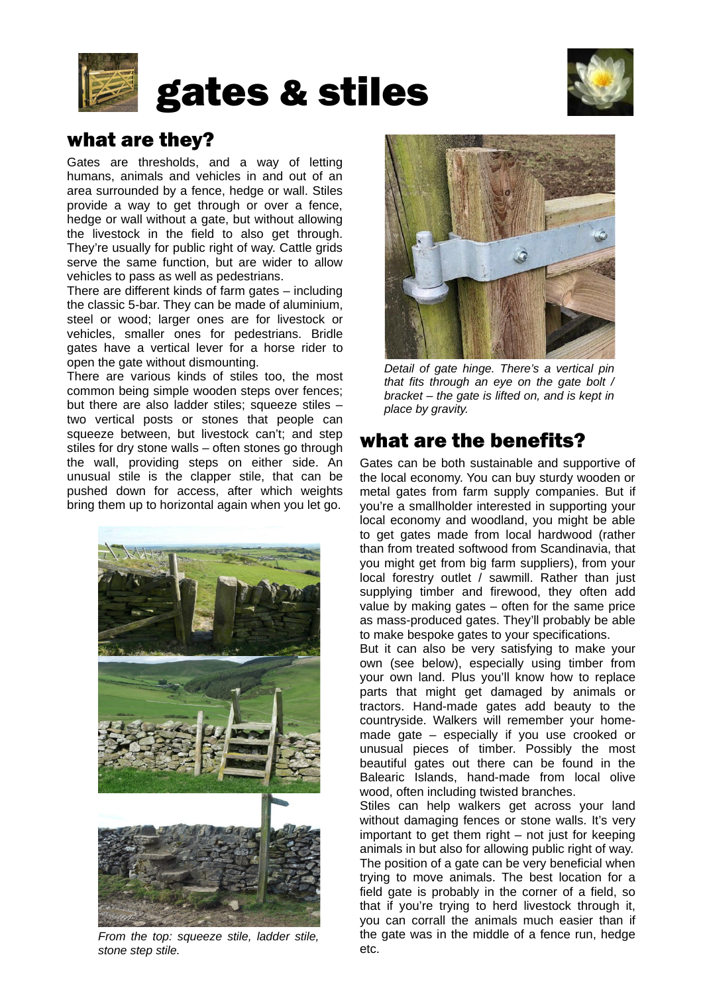



# what are they?

Gates are thresholds, and a way of letting humans, animals and vehicles in and out of an area surrounded by a fence, hedge or wall. Stiles provide a way to get through or over a fence, hedge or wall without a gate, but without allowing the livestock in the field to also get through. They're usually for public right of way. Cattle grids serve the same function, but are wider to allow vehicles to pass as well as pedestrians.

There are different kinds of farm gates – including the classic 5-bar. They can be made of aluminium, steel or wood; larger ones are for livestock or vehicles, smaller ones for pedestrians. Bridle gates have a vertical lever for a horse rider to open the gate without dismounting.

There are various kinds of stiles too, the most common being simple wooden steps over fences; but there are also ladder stiles; squeeze stiles – two vertical posts or stones that people can squeeze between, but livestock can't; and step stiles for dry stone walls – often stones go through the wall, providing steps on either side. An unusual stile is the clapper stile, that can be pushed down for access, after which weights bring them up to horizontal again when you let go.



*From the top: squeeze stile, ladder stile, stone step stile.* 



*Detail of gate hinge. There's a vertical pin that fits through an eye on the gate bolt / bracket – the gate is lifted on, and is kept in place by gravity.*

# what are the benefits?

Gates can be both sustainable and supportive of the local economy. You can buy sturdy wooden or metal gates from farm supply companies. But if you're a smallholder interested in supporting your local economy and woodland, you might be able to get gates made from local hardwood (rather than from treated softwood from Scandinavia, that you might get from big farm suppliers), from your local forestry outlet / sawmill. Rather than just supplying timber and firewood, they often add value by making gates – often for the same price as mass-produced gates. They'll probably be able to make bespoke gates to your specifications.

But it can also be very satisfying to make your own (see below), especially using timber from your own land. Plus you'll know how to replace parts that might get damaged by animals or tractors. Hand-made gates add beauty to the countryside. Walkers will remember your homemade gate – especially if you use crooked or unusual pieces of timber. Possibly the most beautiful gates out there can be found in the Balearic Islands, hand-made from local olive wood, often including twisted branches.

Stiles can help walkers get across your land without damaging fences or stone walls. It's very important to get them right – not just for keeping animals in but also for allowing public right of way. The position of a gate can be very beneficial when trying to move animals. The best location for a field gate is probably in the corner of a field, so that if you're trying to herd livestock through it, you can corrall the animals much easier than if the gate was in the middle of a fence run, hedge etc.